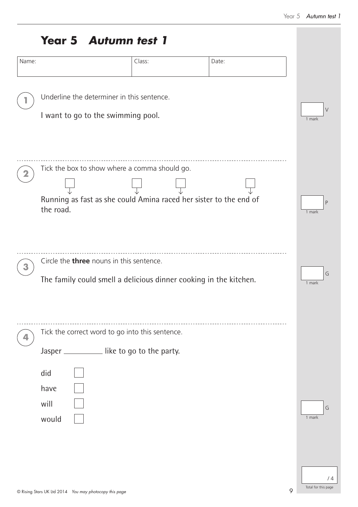|  |  | <b>Year 5 Autumn test 1</b> |  |  |
|--|--|-----------------------------|--|--|
|--|--|-----------------------------|--|--|

| Name: |                                                                                                                                 | Class: | Date:   |                           |
|-------|---------------------------------------------------------------------------------------------------------------------------------|--------|---------|---------------------------|
|       | Underline the determiner in this sentence.                                                                                      |        |         |                           |
|       | I want to go to the swimming pool.                                                                                              |        |         | $\vee$<br>1 mark          |
|       | Tick the box to show where a comma should go.<br>Running as fast as she could Amina raced her sister to the end of<br>the road. |        |         | P<br>1 mark               |
|       | Circle the <b>three</b> nouns in this sentence.<br>The family could smell a delicious dinner cooking in the kitchen.            |        |         | G<br>1 mark               |
|       | Tick the correct word to go into this sentence.<br>Jasper _____________ like to go to the party.<br>did                         |        |         |                           |
|       | have<br>will<br>would                                                                                                           |        |         | G<br>1 mark               |
|       | © Rising Stars UK Ltd 2014 You may photocopy this page                                                                          |        | $\circ$ | /4<br>Total for this page |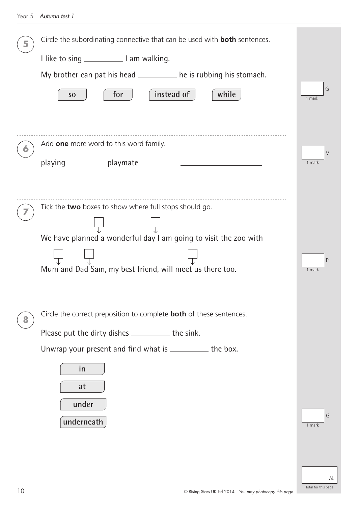|   | Circle the subordinating connective that can be used with <b>both</b> sentences. |                        |
|---|----------------------------------------------------------------------------------|------------------------|
|   |                                                                                  |                        |
|   | My brother can pat his head ___________ he is rubbing his stomach.               |                        |
|   | instead of<br>for<br>while<br>S <sub>0</sub>                                     | G<br>1 mark            |
|   |                                                                                  |                        |
|   |                                                                                  |                        |
|   | Add one more word to this word family.                                           | $\vee$                 |
|   | playing<br>playmate                                                              | 1 mark                 |
|   |                                                                                  |                        |
|   |                                                                                  |                        |
|   | Tick the two boxes to show where full stops should go.                           |                        |
|   | We have planned a wonderful day I am going to visit the zoo with                 |                        |
|   |                                                                                  |                        |
|   | Mum and Dad Sam, my best friend, will meet us there too.                         | $\mathsf{P}$<br>1 mark |
|   |                                                                                  |                        |
|   |                                                                                  |                        |
| 8 | Circle the correct preposition to complete <b>both</b> of these sentences.       |                        |
|   | Please put the dirty dishes _____________ the sink.                              |                        |
|   | Unwrap your present and find what is ___________ the box.                        |                        |
|   | in                                                                               |                        |
|   | at                                                                               |                        |
|   | under                                                                            |                        |
|   | underneath                                                                       | G<br>1 mark            |
|   |                                                                                  |                        |
|   |                                                                                  |                        |
|   |                                                                                  | /4                     |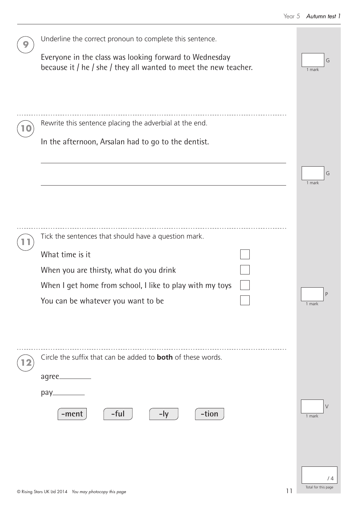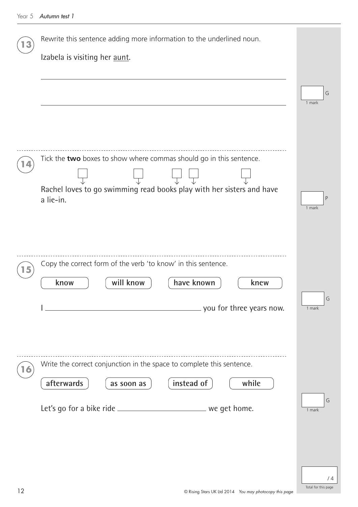| Rewrite this sentence adding more information to the underlined noun.              |             |
|------------------------------------------------------------------------------------|-------------|
| Izabela is visiting her aunt.                                                      |             |
|                                                                                    | G           |
|                                                                                    | 1 mark      |
|                                                                                    |             |
| Tick the two boxes to show where commas should go in this sentence.                |             |
|                                                                                    |             |
| Rachel loves to go swimming read books play with her sisters and have<br>a lie-in. | P           |
|                                                                                    | 1 mark      |
|                                                                                    |             |
| Copy the correct form of the verb 'to know' in this sentence.                      |             |
| have known<br>will know<br>know<br>knew                                            |             |
| you for three years now.<br><u> 1989 - John Stein, Amerikaansk politiker (</u>     | G<br>1 mark |
|                                                                                    |             |
|                                                                                    |             |
| Write the correct conjunction in the space to complete this sentence.              |             |
| instead of<br>afterwards<br>while<br>as soon as                                    | G           |
| Let's go for a bike ride ________________________________ we get home.             | 1 mark      |
|                                                                                    |             |
|                                                                                    |             |
|                                                                                    | /4          |